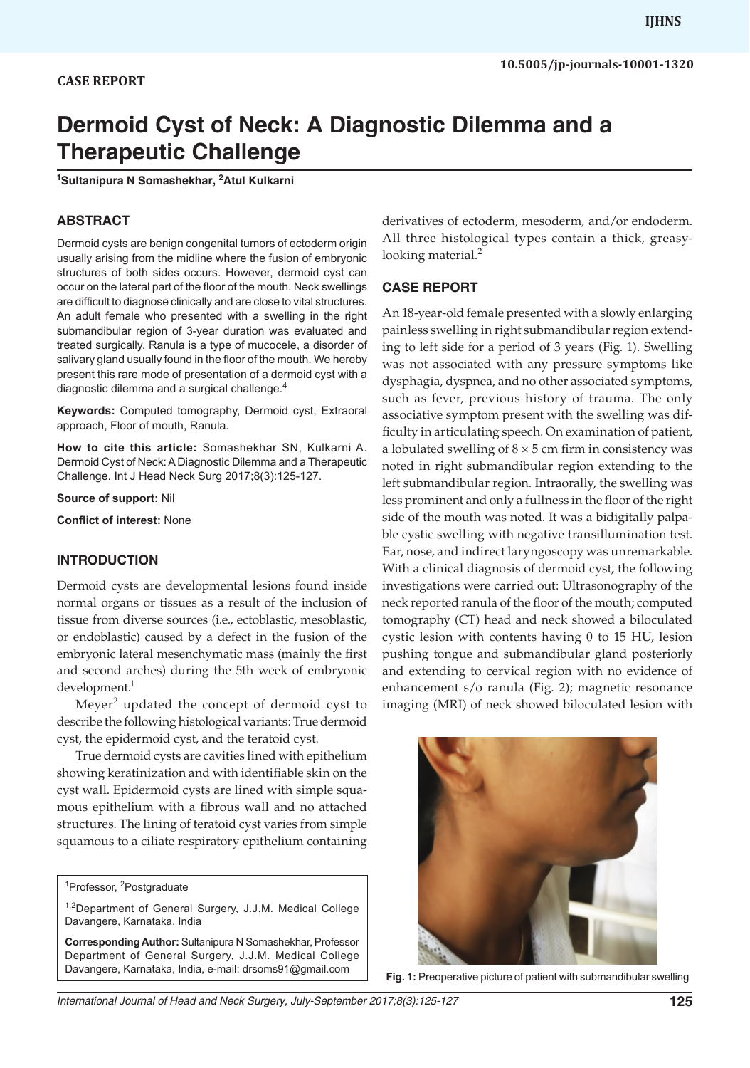# **Dermoid Cyst of Neck: A Diagnostic Dilemma and a Therapeutic Challenge**

**1 Sultanipura N Somashekhar, 2 Atul Kulkarni**

#### **ABSTRACT**

Dermoid cysts are benign congenital tumors of ectoderm origin usually arising from the midline where the fusion of embryonic structures of both sides occurs. However, dermoid cyst can occur on the lateral part of the floor of the mouth. Neck swellings are difficult to diagnose clinically and are close to vital structures. An adult female who presented with a swelling in the right submandibular region of 3-year duration was evaluated and treated surgically. Ranula is a type of mucocele, a disorder of salivary gland usually found in the floor of the mouth. We hereby present this rare mode of presentation of a dermoid cyst with a diagnostic dilemma and a surgical challenge.<sup>4</sup>

**Keywords:** Computed tomography, Dermoid cyst, Extraoral approach, Floor of mouth, Ranula.

**How to cite this article:** Somashekhar SN, Kulkarni A. Dermoid Cyst of Neck: A Diagnostic Dilemma and a Therapeutic Challenge. Int J Head Neck Surg 2017;8(3):125-127.

**Source of support:** Nil

**Conflict of interest:** None

#### **INTRODUCTION**

Dermoid cysts are developmental lesions found inside normal organs or tissues as a result of the inclusion of tissue from diverse sources (i.e., ectoblastic, mesoblastic, or endoblastic) caused by a defect in the fusion of the embryonic lateral mesenchymatic mass (mainly the first and second arches) during the 5th week of embryonic development.<sup>1</sup>

Meyer<sup>2</sup> updated the concept of dermoid cyst to describe the following histological variants: True dermoid cyst, the epidermoid cyst, and the teratoid cyst.

True dermoid cysts are cavities lined with epithelium showing keratinization and with identifiable skin on the cyst wall. Epidermoid cysts are lined with simple squamous epithelium with a fibrous wall and no attached structures. The lining of teratoid cyst varies from simple squamous to a ciliate respiratory epithelium containing

derivatives of ectoderm, mesoderm, and/or endoderm. All three histological types contain a thick, greasylooking material.<sup>2</sup>

#### **CASE REPORT**

An 18-year-old female presented with a slowly enlarging painless swelling in right submandibular region extending to left side for a period of 3 years (Fig. 1). Swelling was not associated with any pressure symptoms like dysphagia, dyspnea, and no other associated symptoms, such as fever, previous history of trauma. The only associative symptom present with the swelling was difficulty in articulating speech. On examination of patient, a lobulated swelling of  $8 \times 5$  cm firm in consistency was noted in right submandibular region extending to the left submandibular region. Intraorally, the swelling was less prominent and only a fullness in the floor of the right side of the mouth was noted. It was a bidigitally palpable cystic swelling with negative transillumination test. Ear, nose, and indirect laryngoscopy was unremarkable. With a clinical diagnosis of dermoid cyst, the following investigations were carried out: Ultrasonography of the neck reported ranula of the floor of the mouth; computed tomography (CT) head and neck showed a biloculated cystic lesion with contents having 0 to 15 HU, lesion pushing tongue and submandibular gland posteriorly and extending to cervical region with no evidence of enhancement s/o ranula (Fig. 2); magnetic resonance imaging (MRI) of neck showed biloculated lesion with



**Fig. 1:** Preoperative picture of patient with submandibular swelling

<sup>&</sup>lt;sup>1</sup>Professor, <sup>2</sup>Postgraduate

<sup>&</sup>lt;sup>1,2</sup>Department of General Surgery, J.J.M. Medical College Davangere, Karnataka, India

**Corresponding Author:** Sultanipura N Somashekhar, Professor Department of General Surgery, J.J.M. Medical College Davangere, Karnataka, India, e-mail: drsoms91@gmail.com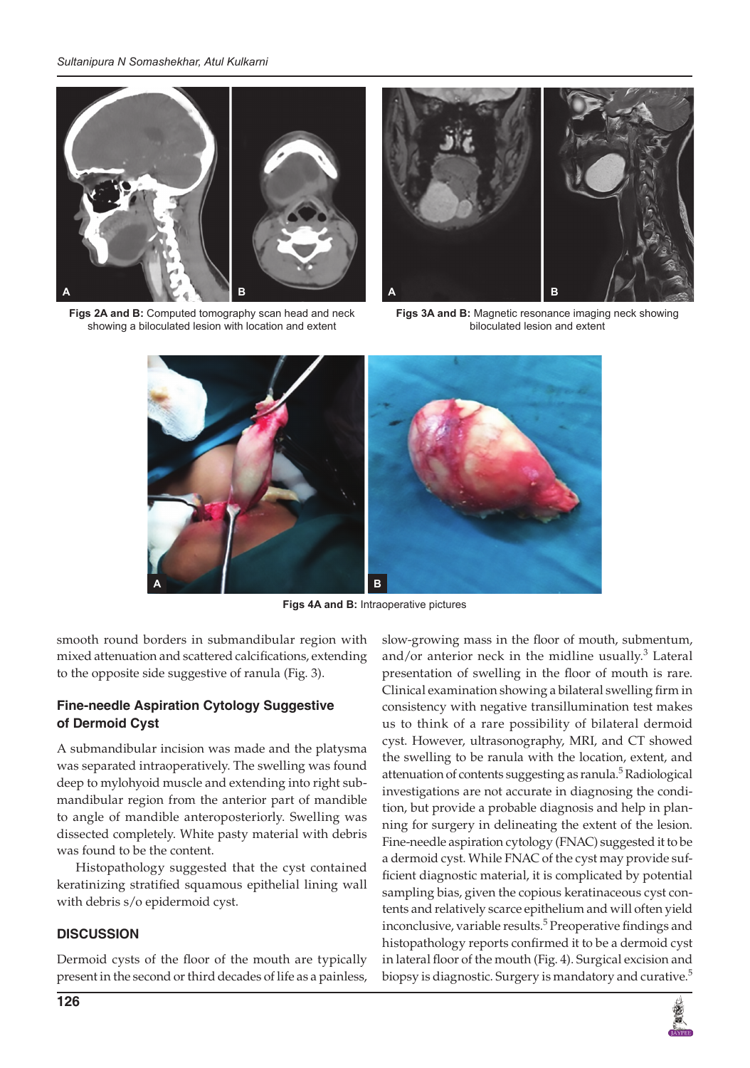

**Figs 2A and B:** Computed tomography scan head and neck showing a biloculated lesion with location and extent



**Figs 3A and B:** Magnetic resonance imaging neck showing biloculated lesion and extent



**Figs 4A and B:** Intraoperative pictures

smooth round borders in submandibular region with mixed attenuation and scattered calcifications, extending to the opposite side suggestive of ranula (Fig. 3).

## **Fine-needle Aspiration Cytology Suggestive of Dermoid Cyst**

A submandibular incision was made and the platysma was separated intraoperatively. The swelling was found deep to mylohyoid muscle and extending into right submandibular region from the anterior part of mandible to angle of mandible anteroposteriorly. Swelling was dissected completely. White pasty material with debris was found to be the content.

Histopathology suggested that the cyst contained keratinizing stratified squamous epithelial lining wall with debris s/o epidermoid cyst.

#### **DISCUSSION**

Dermoid cysts of the floor of the mouth are typically present in the second or third decades of life as a painless, slow-growing mass in the floor of mouth, submentum, and/or anterior neck in the midline usually. $3$  Lateral presentation of swelling in the floor of mouth is rare. Clinical examination showing a bilateral swelling firm in consistency with negative transillumination test makes us to think of a rare possibility of bilateral dermoid cyst. However, ultrasonography, MRI, and CT showed the swelling to be ranula with the location, extent, and attenuation of contents suggesting as ranula.<sup>5</sup> Radiological investigations are not accurate in diagnosing the condition, but provide a probable diagnosis and help in planning for surgery in delineating the extent of the lesion. Fine-needle aspiration cytology (FNAC) suggested it to be a dermoid cyst. While FNAC of the cyst may provide sufficient diagnostic material, it is complicated by potential sampling bias, given the copious keratinaceous cyst contents and relatively scarce epithelium and will often yield inconclusive, variable results.<sup>5</sup> Preoperative findings and histopathology reports confirmed it to be a dermoid cyst in lateral floor of the mouth (Fig. 4). Surgical excision and biopsy is diagnostic. Surgery is mandatory and curative.<sup>5</sup>